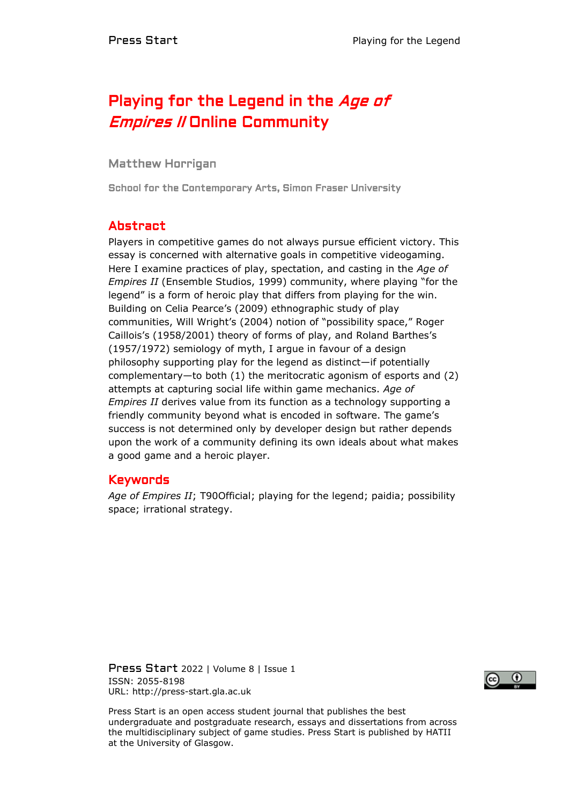# Playing for the Legend in the Age of *Empires II* Online Community

### Matthew Horrigan

School for the Contemporary Arts, Simon Fraser University

# Abstract

Players in competitive games do not always pursue efficient victory. This essay is concerned with alternative goals in competitive videogaming. Here I examine practices of play, spectation, and casting in the *Age of Empires II* (Ensemble Studios, 1999) community, where playing "for the legend" is a form of heroic play that differs from playing for the win. Building on Celia Pearce's (2009) ethnographic study of play communities, Will Wright's (2004) notion of "possibility space," Roger Caillois's (1958/2001) theory of forms of play, and Roland Barthes's (1957/1972) semiology of myth, I argue in favour of a design philosophy supporting play for the legend as distinct—if potentially complementary—to both (1) the meritocratic agonism of esports and (2) attempts at capturing social life within game mechanics. *Age of Empires II* derives value from its function as a technology supporting a friendly community beyond what is encoded in software. The game's success is not determined only by developer design but rather depends upon the work of a community defining its own ideals about what makes a good game and a heroic player.

### Keywords

*Age of Empires II*; T90Official; playing for the legend; paidia; possibility space; irrational strategy.

Press Start 2022 | Volume 8 | Issue 1 ISSN: 2055-8198 URL: http://press-start.gla.ac.uk



Press Start is an open access student journal that publishes the best undergraduate and postgraduate research, essays and dissertations from across the multidisciplinary subject of game studies. Press Start is published by HATII at the University of Glasgow.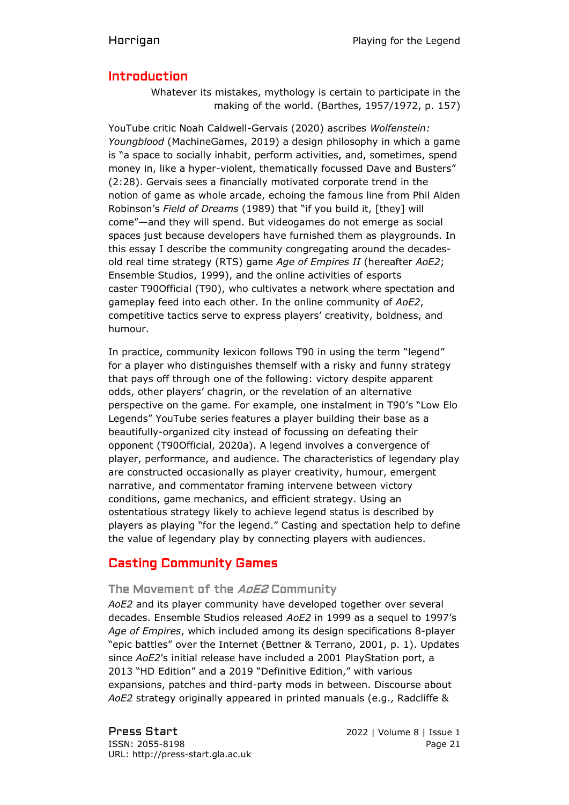# Introduction

Whatever its mistakes, mythology is certain to participate in the making of the world. (Barthes, 1957/1972, p. 157)

YouTube critic Noah Caldwell-Gervais (2020) ascribes *Wolfenstein: Youngblood* (MachineGames, 2019) a design philosophy in which a game is "a space to socially inhabit, perform activities, and, sometimes, spend money in, like a hyper-violent, thematically focussed Dave and Busters" (2:28). Gervais sees a financially motivated corporate trend in the notion of game as whole arcade, echoing the famous line from Phil Alden Robinson's *Field of Dreams* (1989) that "if you build it, [they] will come"—and they will spend. But videogames do not emerge as social spaces just because developers have furnished them as playgrounds. In this essay I describe the community congregating around the decadesold real time strategy (RTS) game *Age of Empires II* (hereafter *AoE2*; Ensemble Studios, 1999), and the online activities of esports caster T90Official (T90), who cultivates a network where spectation and gameplay feed into each other. In the online community of *AoE2*, competitive tactics serve to express players' creativity, boldness, and humour.

In practice, community lexicon follows T90 in using the term "legend" for a player who distinguishes themself with a risky and funny strategy that pays off through one of the following: victory despite apparent odds, other players' chagrin, or the revelation of an alternative perspective on the game. For example, one instalment in T90's "Low Elo Legends" YouTube series features a player building their base as a beautifully-organized city instead of focussing on defeating their opponent (T90Official, 2020a). A legend involves a convergence of player, performance, and audience. The characteristics of legendary play are constructed occasionally as player creativity, humour, emergent narrative, and commentator framing intervene between victory conditions, game mechanics, and efficient strategy. Using an ostentatious strategy likely to achieve legend status is described by players as playing "for the legend." Casting and spectation help to define the value of legendary play by connecting players with audiences.

# Casting Community Games

### The Movement of the AoE2 Community

*AoE2* and its player community have developed together over several decades. Ensemble Studios released *AoE2* in 1999 as a sequel to 1997's *Age of Empires*, which included among its design specifications 8-player "epic battles" over the Internet (Bettner & Terrano, 2001, p. 1). Updates since *AoE2*'s initial release have included a 2001 PlayStation port, a 2013 "HD Edition" and a 2019 "Definitive Edition," with various expansions, patches and third-party mods in between. Discourse about *AoE2* strategy originally appeared in printed manuals (e.g., Radcliffe &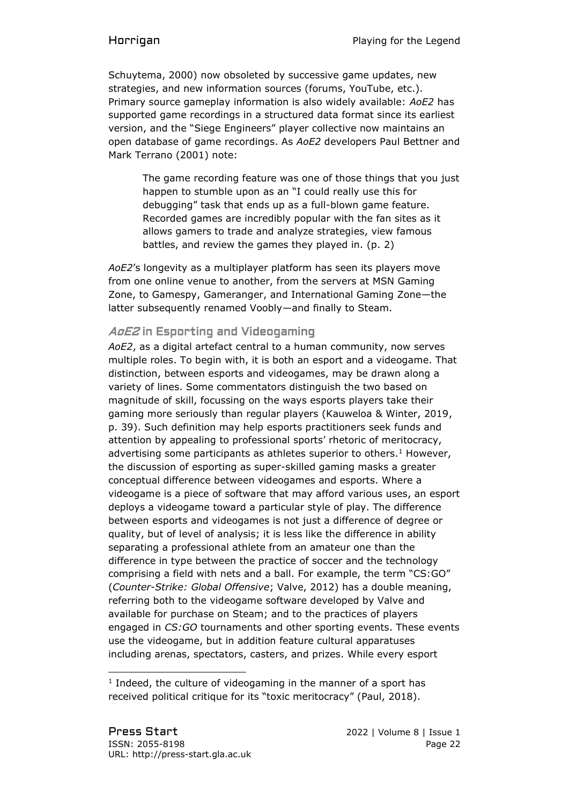Schuytema, 2000) now obsoleted by successive game updates, new strategies, and new information sources (forums, YouTube, etc.). Primary source gameplay information is also widely available: *AoE2* has supported game recordings in a structured data format since its earliest version, and the "Siege Engineers" player collective now maintains an open database of game recordings. As *AoE2* developers Paul Bettner and Mark Terrano (2001) note:

The game recording feature was one of those things that you just happen to stumble upon as an "I could really use this for debugging" task that ends up as a full-blown game feature. Recorded games are incredibly popular with the fan sites as it allows gamers to trade and analyze strategies, view famous battles, and review the games they played in. (p. 2)

*AoE2*'s longevity as a multiplayer platform has seen its players move from one online venue to another, from the servers at MSN Gaming Zone, to Gamespy, Gameranger, and International Gaming Zone—the latter subsequently renamed Voobly—and finally to Steam.

### AoE2 in Esporting and Videogaming

*AoE2*, as a digital artefact central to a human community, now serves multiple roles. To begin with, it is both an esport and a videogame. That distinction, between esports and videogames, may be drawn along a variety of lines. Some commentators distinguish the two based on magnitude of skill, focussing on the ways esports players take their gaming more seriously than regular players (Kauweloa & Winter, 2019, p. 39). Such definition may help esports practitioners seek funds and attention by appealing to professional sports' rhetoric of meritocracy, advertising some participants as athletes superior to others.<sup>1</sup> However, the discussion of esporting as super-skilled gaming masks a greater conceptual difference between videogames and esports. Where a videogame is a piece of software that may afford various uses, an esport deploys a videogame toward a particular style of play. The difference between esports and videogames is not just a difference of degree or quality, but of level of analysis; it is less like the difference in ability separating a professional athlete from an amateur one than the difference in type between the practice of soccer and the technology comprising a field with nets and a ball. For example, the term "CS:GO" (*Counter-Strike: Global Offensive*; Valve, 2012) has a double meaning, referring both to the videogame software developed by Valve and available for purchase on Steam; and to the practices of players engaged in *CS:GO* tournaments and other sporting events. These events use the videogame, but in addition feature cultural apparatuses including arenas, spectators, casters, and prizes. While every esport

<sup>1</sup> Indeed, the culture of videogaming in the manner of a sport has received political critique for its "toxic meritocracy" (Paul, 2018).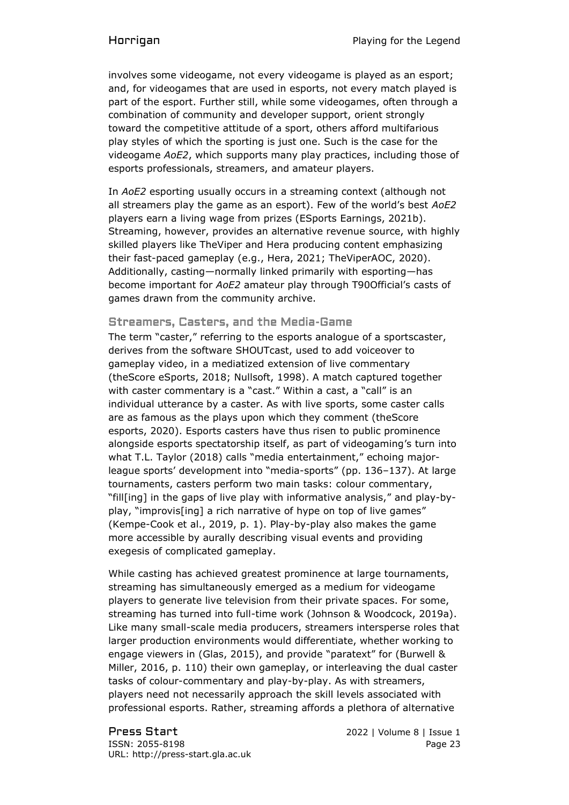involves some videogame, not every videogame is played as an esport; and, for videogames that are used in esports, not every match played is part of the esport. Further still, while some videogames, often through a combination of community and developer support, orient strongly toward the competitive attitude of a sport, others afford multifarious play styles of which the sporting is just one. Such is the case for the videogame *AoE2*, which supports many play practices, including those of esports professionals, streamers, and amateur players.

In *AoE2* esporting usually occurs in a streaming context (although not all streamers play the game as an esport). Few of the world's best *AoE2* players earn a living wage from prizes (ESports Earnings, 2021b). Streaming, however, provides an alternative revenue source, with highly skilled players like TheViper and Hera producing content emphasizing their fast-paced gameplay (e.g., Hera, 2021; TheViperAOC, 2020). Additionally, casting—normally linked primarily with esporting—has become important for *AoE2* amateur play through T90Official's casts of games drawn from the community archive.

### Streamers, Casters, and the Media-Game

The term "caster," referring to the esports analogue of a sportscaster, derives from the software SHOUTcast, used to add voiceover to gameplay video, in a mediatized extension of live commentary (theScore eSports, 2018; Nullsoft, 1998). A match captured together with caster commentary is a "cast." Within a cast, a "call" is an individual utterance by a caster. As with live sports, some caster calls are as famous as the plays upon which they comment (theScore esports, 2020). Esports casters have thus risen to public prominence alongside esports spectatorship itself, as part of videogaming's turn into what T.L. Taylor (2018) calls "media entertainment," echoing majorleague sports' development into "media-sports" (pp. 136–137). At large tournaments, casters perform two main tasks: colour commentary, "fill[ing] in the gaps of live play with informative analysis," and play-byplay, "improvis[ing] a rich narrative of hype on top of live games" (Kempe-Cook et al., 2019, p. 1). Play-by-play also makes the game more accessible by aurally describing visual events and providing exegesis of complicated gameplay.

While casting has achieved greatest prominence at large tournaments, streaming has simultaneously emerged as a medium for videogame players to generate live television from their private spaces. For some, streaming has turned into full-time work (Johnson & Woodcock, 2019a). Like many small-scale media producers, streamers intersperse roles that larger production environments would differentiate, whether working to engage viewers in (Glas, 2015), and provide "paratext" for (Burwell & Miller, 2016, p. 110) their own gameplay, or interleaving the dual caster tasks of colour-commentary and play-by-play. As with streamers, players need not necessarily approach the skill levels associated with professional esports. Rather, streaming affords a plethora of alternative

Press Start 2022 | Volume 8 | Issue 1 ISSN: 2055-8198 Page 23 URL: http://press-start.gla.ac.uk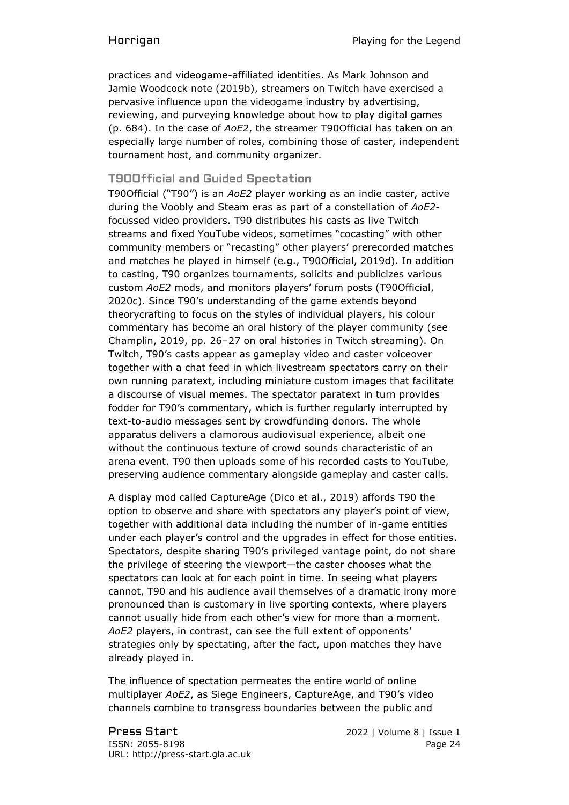practices and videogame-affiliated identities. As Mark Johnson and Jamie Woodcock note (2019b), streamers on Twitch have exercised a pervasive influence upon the videogame industry by advertising, reviewing, and purveying knowledge about how to play digital games (p. 684). In the case of *AoE2*, the streamer T90Official has taken on an especially large number of roles, combining those of caster, independent tournament host, and community organizer.

## T90Official and Guided Spectation

T90Official ("T90") is an *AoE2* player working as an indie caster, active during the Voobly and Steam eras as part of a constellation of *AoE2* focussed video providers. T90 distributes his casts as live Twitch streams and fixed YouTube videos, sometimes "cocasting" with other community members or "recasting" other players' prerecorded matches and matches he played in himself (e.g., T90Official, 2019d). In addition to casting, T90 organizes tournaments, solicits and publicizes various custom *AoE2* mods, and monitors players' forum posts (T90Official, 2020c). Since T90's understanding of the game extends beyond theorycrafting to focus on the styles of individual players, his colour commentary has become an oral history of the player community (see Champlin, 2019, pp. 26–27 on oral histories in Twitch streaming). On Twitch, T90's casts appear as gameplay video and caster voiceover together with a chat feed in which livestream spectators carry on their own running paratext, including miniature custom images that facilitate a discourse of visual memes. The spectator paratext in turn provides fodder for T90's commentary, which is further regularly interrupted by text-to-audio messages sent by crowdfunding donors. The whole apparatus delivers a clamorous audiovisual experience, albeit one without the continuous texture of crowd sounds characteristic of an arena event. T90 then uploads some of his recorded casts to YouTube, preserving audience commentary alongside gameplay and caster calls.

A display mod called CaptureAge (Dico et al., 2019) affords T90 the option to observe and share with spectators any player's point of view, together with additional data including the number of in-game entities under each player's control and the upgrades in effect for those entities. Spectators, despite sharing T90's privileged vantage point, do not share the privilege of steering the viewport—the caster chooses what the spectators can look at for each point in time. In seeing what players cannot, T90 and his audience avail themselves of a dramatic irony more pronounced than is customary in live sporting contexts, where players cannot usually hide from each other's view for more than a moment. *AoE2* players, in contrast, can see the full extent of opponents' strategies only by spectating, after the fact, upon matches they have already played in.

The influence of spectation permeates the entire world of online multiplayer *AoE2*, as Siege Engineers, CaptureAge, and T90's video channels combine to transgress boundaries between the public and

Press Start 2022 | Volume 8 | Issue 1 ISSN: 2055-8198 Page 24 URL: http://press-start.gla.ac.uk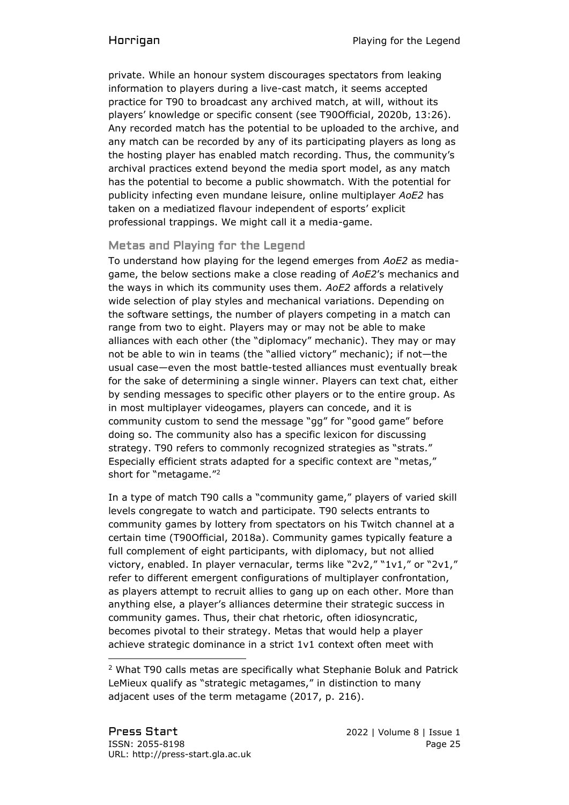private. While an honour system discourages spectators from leaking information to players during a live-cast match, it seems accepted practice for T90 to broadcast any archived match, at will, without its players' knowledge or specific consent (see T90Official, 2020b, 13:26). Any recorded match has the potential to be uploaded to the archive, and any match can be recorded by any of its participating players as long as the hosting player has enabled match recording. Thus, the community's archival practices extend beyond the media sport model, as any match has the potential to become a public showmatch. With the potential for publicity infecting even mundane leisure, online multiplayer *AoE2* has taken on a mediatized flavour independent of esports' explicit professional trappings. We might call it a media-game.

# Metas and Playing for the Legend

To understand how playing for the legend emerges from *AoE2* as mediagame, the below sections make a close reading of *AoE2*'s mechanics and the ways in which its community uses them. *AoE2* affords a relatively wide selection of play styles and mechanical variations. Depending on the software settings, the number of players competing in a match can range from two to eight. Players may or may not be able to make alliances with each other (the "diplomacy" mechanic). They may or may not be able to win in teams (the "allied victory" mechanic); if not—the usual case—even the most battle-tested alliances must eventually break for the sake of determining a single winner. Players can text chat, either by sending messages to specific other players or to the entire group. As in most multiplayer videogames, players can concede, and it is community custom to send the message "gg" for "good game" before doing so. The community also has a specific lexicon for discussing strategy. T90 refers to commonly recognized strategies as "strats." Especially efficient strats adapted for a specific context are "metas," short for "metagame."<sup>2</sup>

In a type of match T90 calls a "community game," players of varied skill levels congregate to watch and participate. T90 selects entrants to community games by lottery from spectators on his Twitch channel at a certain time (T90Official, 2018a). Community games typically feature a full complement of eight participants, with diplomacy, but not allied victory, enabled. In player vernacular, terms like "2v2," "1v1," or "2v1," refer to different emergent configurations of multiplayer confrontation, as players attempt to recruit allies to gang up on each other. More than anything else, a player's alliances determine their strategic success in community games. Thus, their chat rhetoric, often idiosyncratic, becomes pivotal to their strategy. Metas that would help a player achieve strategic dominance in a strict 1v1 context often meet with

<sup>2</sup> What T90 calls metas are specifically what Stephanie Boluk and Patrick LeMieux qualify as "strategic metagames," in distinction to many adjacent uses of the term metagame (2017, p. 216).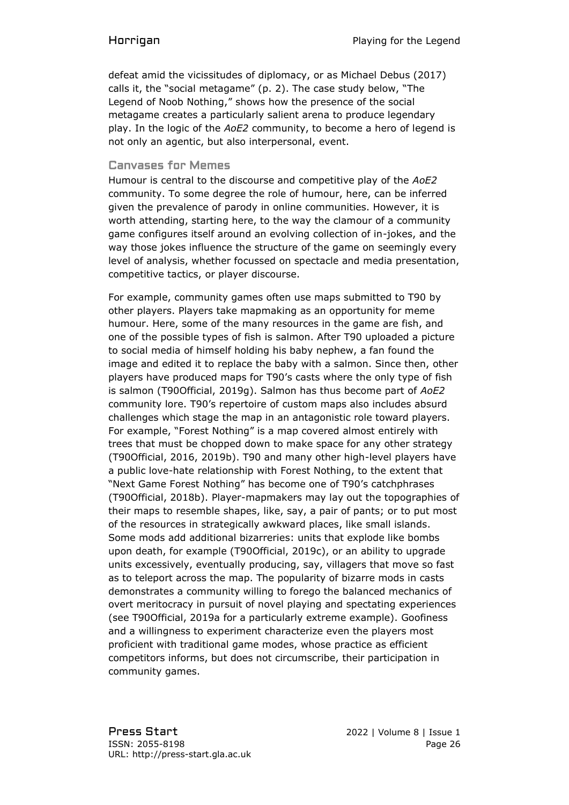defeat amid the vicissitudes of diplomacy, or as Michael Debus (2017) calls it, the "social metagame" (p. 2). The case study below, "The Legend of Noob Nothing," shows how the presence of the social metagame creates a particularly salient arena to produce legendary play. In the logic of the *AoE2* community, to become a hero of legend is not only an agentic, but also interpersonal, event.

### Canvases for Memes

Humour is central to the discourse and competitive play of the *AoE2* community. To some degree the role of humour, here, can be inferred given the prevalence of parody in online communities. However, it is worth attending, starting here, to the way the clamour of a community game configures itself around an evolving collection of in-jokes, and the way those jokes influence the structure of the game on seemingly every level of analysis, whether focussed on spectacle and media presentation, competitive tactics, or player discourse.

For example, community games often use maps submitted to T90 by other players. Players take mapmaking as an opportunity for meme humour. Here, some of the many resources in the game are fish, and one of the possible types of fish is salmon. After T90 uploaded a picture to social media of himself holding his baby nephew, a fan found the image and edited it to replace the baby with a salmon. Since then, other players have produced maps for T90's casts where the only type of fish is salmon (T90Official, 2019g). Salmon has thus become part of *AoE2* community lore. T90's repertoire of custom maps also includes absurd challenges which stage the map in an antagonistic role toward players. For example, "Forest Nothing" is a map covered almost entirely with trees that must be chopped down to make space for any other strategy (T90Official, 2016, 2019b). T90 and many other high-level players have a public love-hate relationship with Forest Nothing, to the extent that "Next Game Forest Nothing" has become one of T90's catchphrases (T90Official, 2018b). Player-mapmakers may lay out the topographies of their maps to resemble shapes, like, say, a pair of pants; or to put most of the resources in strategically awkward places, like small islands. Some mods add additional bizarreries: units that explode like bombs upon death, for example (T90Official, 2019c), or an ability to upgrade units excessively, eventually producing, say, villagers that move so fast as to teleport across the map. The popularity of bizarre mods in casts demonstrates a community willing to forego the balanced mechanics of overt meritocracy in pursuit of novel playing and spectating experiences (see T90Official, 2019a for a particularly extreme example). Goofiness and a willingness to experiment characterize even the players most proficient with traditional game modes, whose practice as efficient competitors informs, but does not circumscribe, their participation in community games.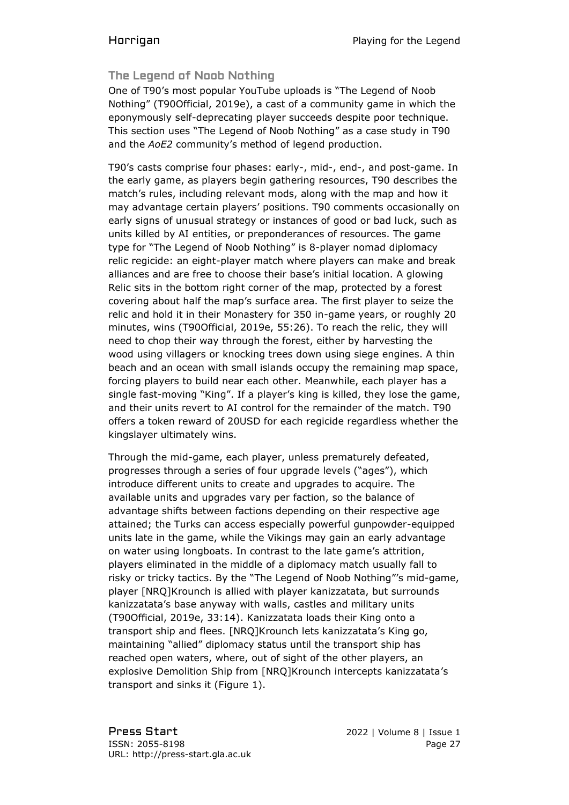# The Legend of Noob Nothing

One of T90's most popular YouTube uploads is "The Legend of Noob Nothing" (T90Official, 2019e), a cast of a community game in which the eponymously self-deprecating player succeeds despite poor technique. This section uses "The Legend of Noob Nothing" as a case study in T90 and the *AoE2* community's method of legend production.

T90's casts comprise four phases: early-, mid-, end-, and post-game. In the early game, as players begin gathering resources, T90 describes the match's rules, including relevant mods, along with the map and how it may advantage certain players' positions. T90 comments occasionally on early signs of unusual strategy or instances of good or bad luck, such as units killed by AI entities, or preponderances of resources. The game type for "The Legend of Noob Nothing" is 8-player nomad diplomacy relic regicide: an eight-player match where players can make and break alliances and are free to choose their base's initial location. A glowing Relic sits in the bottom right corner of the map, protected by a forest covering about half the map's surface area. The first player to seize the relic and hold it in their Monastery for 350 in-game years, or roughly 20 minutes, wins (T90Official, 2019e, 55:26). To reach the relic, they will need to chop their way through the forest, either by harvesting the wood using villagers or knocking trees down using siege engines. A thin beach and an ocean with small islands occupy the remaining map space, forcing players to build near each other. Meanwhile, each player has a single fast-moving "King". If a player's king is killed, they lose the game, and their units revert to AI control for the remainder of the match. T90 offers a token reward of 20USD for each regicide regardless whether the kingslayer ultimately wins.

Through the mid-game, each player, unless prematurely defeated, progresses through a series of four upgrade levels ("ages"), which introduce different units to create and upgrades to acquire. The available units and upgrades vary per faction, so the balance of advantage shifts between factions depending on their respective age attained; the Turks can access especially powerful gunpowder-equipped units late in the game, while the Vikings may gain an early advantage on water using longboats. In contrast to the late game's attrition, players eliminated in the middle of a diplomacy match usually fall to risky or tricky tactics. By the "The Legend of Noob Nothing"'s mid-game, player [NRQ]Krounch is allied with player kanizzatata, but surrounds kanizzatata's base anyway with walls, castles and military units (T90Official, 2019e, 33:14). Kanizzatata loads their King onto a transport ship and flees. [NRQ]Krounch lets kanizzatata's King go, maintaining "allied" diplomacy status until the transport ship has reached open waters, where, out of sight of the other players, an explosive Demolition Ship from [NRQ]Krounch intercepts kanizzatata's transport and sinks it (Figure 1).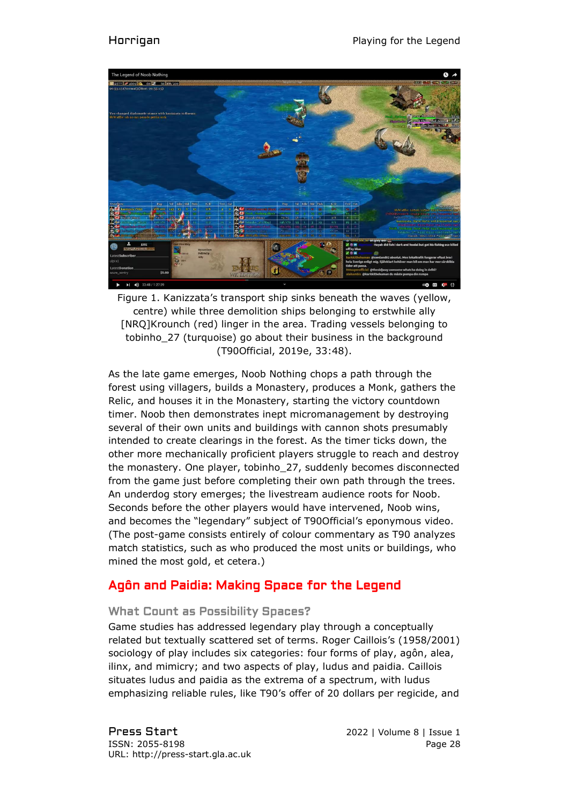

Figure 1. Kanizzata's transport ship sinks beneath the waves (yellow, centre) while three demolition ships belonging to erstwhile ally [NRQ]Krounch (red) linger in the area. Trading vessels belonging to tobinho\_27 (turquoise) go about their business in the background (T90Official, 2019e, 33:48).

As the late game emerges, Noob Nothing chops a path through the forest using villagers, builds a Monastery, produces a Monk, gathers the Relic, and houses it in the Monastery, starting the victory countdown timer. Noob then demonstrates inept micromanagement by destroying several of their own units and buildings with cannon shots presumably intended to create clearings in the forest. As the timer ticks down, the other more mechanically proficient players struggle to reach and destroy the monastery. One player, tobinho\_27, suddenly becomes disconnected from the game just before completing their own path through the trees. An underdog story emerges; the livestream audience roots for Noob. Seconds before the other players would have intervened, Noob wins, and becomes the "legendary" subject of T90Official's eponymous video. (The post-game consists entirely of colour commentary as T90 analyzes match statistics, such as who produced the most units or buildings, who mined the most gold, et cetera.)

# Agôn and Paidia: Making Space for the Legend

### What Count as Possibility Spaces?

Game studies has addressed legendary play through a conceptually related but textually scattered set of terms. Roger Caillois's (1958/2001) sociology of play includes six categories: four forms of play, agôn, alea, ilinx, and mimicry; and two aspects of play, ludus and paidia. Caillois situates ludus and paidia as the extrema of a spectrum, with ludus emphasizing reliable rules, like T90's offer of 20 dollars per regicide, and

Press Start 2022 | Volume 8 | Issue 1 ISSN: 2055-8198 Page 28 URL: http://press-start.gla.ac.uk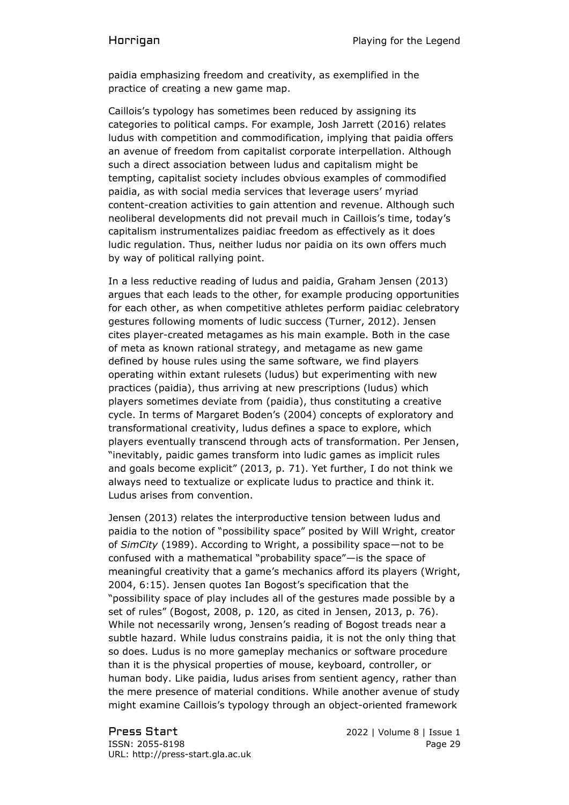paidia emphasizing freedom and creativity, as exemplified in the practice of creating a new game map.

Caillois's typology has sometimes been reduced by assigning its categories to political camps. For example, Josh Jarrett (2016) relates ludus with competition and commodification, implying that paidia offers an avenue of freedom from capitalist corporate interpellation. Although such a direct association between ludus and capitalism might be tempting, capitalist society includes obvious examples of commodified paidia, as with social media services that leverage users' myriad content-creation activities to gain attention and revenue. Although such neoliberal developments did not prevail much in Caillois's time, today's capitalism instrumentalizes paidiac freedom as effectively as it does ludic regulation. Thus, neither ludus nor paidia on its own offers much by way of political rallying point.

In a less reductive reading of ludus and paidia, Graham Jensen (2013) argues that each leads to the other, for example producing opportunities for each other, as when competitive athletes perform paidiac celebratory gestures following moments of ludic success (Turner, 2012). Jensen cites player-created metagames as his main example. Both in the case of meta as known rational strategy, and metagame as new game defined by house rules using the same software, we find players operating within extant rulesets (ludus) but experimenting with new practices (paidia), thus arriving at new prescriptions (ludus) which players sometimes deviate from (paidia), thus constituting a creative cycle. In terms of Margaret Boden's (2004) concepts of exploratory and transformational creativity, ludus defines a space to explore, which players eventually transcend through acts of transformation. Per Jensen, "inevitably, paidic games transform into ludic games as implicit rules and goals become explicit" (2013, p. 71). Yet further, I do not think we always need to textualize or explicate ludus to practice and think it. Ludus arises from convention.

Jensen (2013) relates the interproductive tension between ludus and paidia to the notion of "possibility space" posited by Will Wright, creator of *SimCity* (1989). According to Wright, a possibility space—not to be confused with a mathematical "probability space"—is the space of meaningful creativity that a game's mechanics afford its players (Wright, 2004, 6:15). Jensen quotes Ian Bogost's specification that the "possibility space of play includes all of the gestures made possible by a set of rules" (Bogost, 2008, p. 120, as cited in Jensen, 2013, p. 76). While not necessarily wrong, Jensen's reading of Bogost treads near a subtle hazard. While ludus constrains paidia, it is not the only thing that so does. Ludus is no more gameplay mechanics or software procedure than it is the physical properties of mouse, keyboard, controller, or human body. Like paidia, ludus arises from sentient agency, rather than the mere presence of material conditions. While another avenue of study might examine Caillois's typology through an object-oriented framework

Press Start 2022 | Volume 8 | Issue 1 ISSN: 2055-8198 Page 29 URL: http://press-start.gla.ac.uk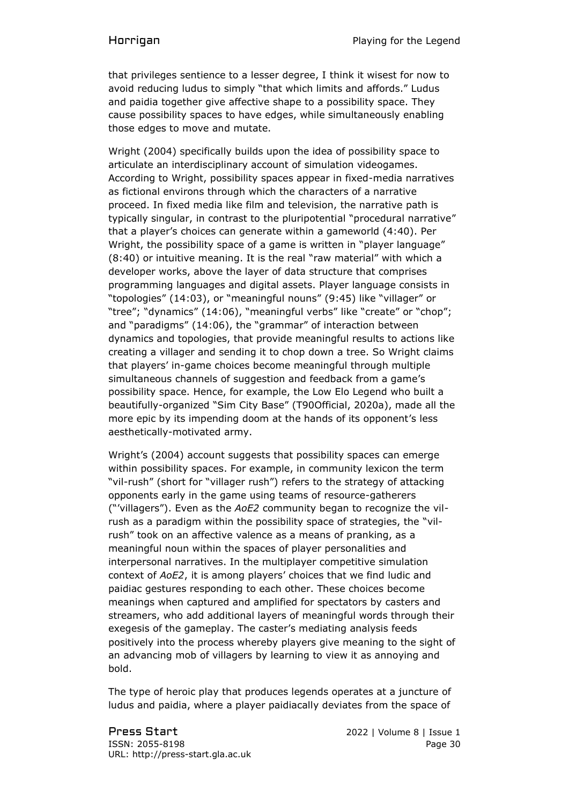that privileges sentience to a lesser degree, I think it wisest for now to avoid reducing ludus to simply "that which limits and affords." Ludus and paidia together give affective shape to a possibility space. They cause possibility spaces to have edges, while simultaneously enabling those edges to move and mutate.

Wright (2004) specifically builds upon the idea of possibility space to articulate an interdisciplinary account of simulation videogames. According to Wright, possibility spaces appear in fixed-media narratives as fictional environs through which the characters of a narrative proceed. In fixed media like film and television, the narrative path is typically singular, in contrast to the pluripotential "procedural narrative" that a player's choices can generate within a gameworld (4:40). Per Wright, the possibility space of a game is written in "player language" (8:40) or intuitive meaning. It is the real "raw material" with which a developer works, above the layer of data structure that comprises programming languages and digital assets. Player language consists in "topologies" (14:03), or "meaningful nouns" (9:45) like "villager" or "tree"; "dynamics" (14:06), "meaningful verbs" like "create" or "chop"; and "paradigms" (14:06), the "grammar" of interaction between dynamics and topologies, that provide meaningful results to actions like creating a villager and sending it to chop down a tree. So Wright claims that players' in-game choices become meaningful through multiple simultaneous channels of suggestion and feedback from a game's possibility space. Hence, for example, the Low Elo Legend who built a beautifully-organized "Sim City Base" (T90Official, 2020a), made all the more epic by its impending doom at the hands of its opponent's less aesthetically-motivated army.

Wright's (2004) account suggests that possibility spaces can emerge within possibility spaces. For example, in community lexicon the term "vil-rush" (short for "villager rush") refers to the strategy of attacking opponents early in the game using teams of resource-gatherers ("'villagers"). Even as the *AoE2* community began to recognize the vilrush as a paradigm within the possibility space of strategies, the "vilrush" took on an affective valence as a means of pranking, as a meaningful noun within the spaces of player personalities and interpersonal narratives. In the multiplayer competitive simulation context of *AoE2*, it is among players' choices that we find ludic and paidiac gestures responding to each other. These choices become meanings when captured and amplified for spectators by casters and streamers, who add additional layers of meaningful words through their exegesis of the gameplay. The caster's mediating analysis feeds positively into the process whereby players give meaning to the sight of an advancing mob of villagers by learning to view it as annoying and bold.

The type of heroic play that produces legends operates at a juncture of ludus and paidia, where a player paidiacally deviates from the space of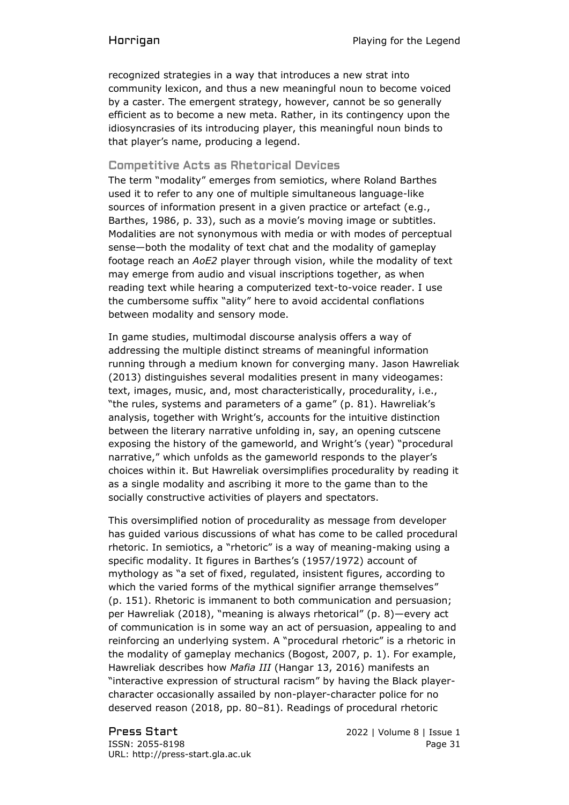recognized strategies in a way that introduces a new strat into community lexicon, and thus a new meaningful noun to become voiced by a caster. The emergent strategy, however, cannot be so generally efficient as to become a new meta. Rather, in its contingency upon the idiosyncrasies of its introducing player, this meaningful noun binds to that player's name, producing a legend.

### Competitive Acts as Rhetorical Devices

The term "modality" emerges from semiotics, where Roland Barthes used it to refer to any one of multiple simultaneous language-like sources of information present in a given practice or artefact (e.g., Barthes, 1986, p. 33), such as a movie's moving image or subtitles. Modalities are not synonymous with media or with modes of perceptual sense—both the modality of text chat and the modality of gameplay footage reach an *AoE2* player through vision, while the modality of text may emerge from audio and visual inscriptions together, as when reading text while hearing a computerized text-to-voice reader. I use the cumbersome suffix "ality" here to avoid accidental conflations between modality and sensory mode.

In game studies, multimodal discourse analysis offers a way of addressing the multiple distinct streams of meaningful information running through a medium known for converging many. Jason Hawreliak (2013) distinguishes several modalities present in many videogames: text, images, music, and, most characteristically, procedurality, i.e., "the rules, systems and parameters of a game" (p. 81). Hawreliak's analysis, together with Wright's, accounts for the intuitive distinction between the literary narrative unfolding in, say, an opening cutscene exposing the history of the gameworld, and Wright's (year) "procedural narrative," which unfolds as the gameworld responds to the player's choices within it. But Hawreliak oversimplifies procedurality by reading it as a single modality and ascribing it more to the game than to the socially constructive activities of players and spectators.

This oversimplified notion of procedurality as message from developer has guided various discussions of what has come to be called procedural rhetoric. In semiotics, a "rhetoric" is a way of meaning-making using a specific modality. It figures in Barthes's (1957/1972) account of mythology as "a set of fixed, regulated, insistent figures, according to which the varied forms of the mythical signifier arrange themselves" (p. 151). Rhetoric is immanent to both communication and persuasion; per Hawreliak (2018), "meaning is always rhetorical" (p. 8)—every act of communication is in some way an act of persuasion, appealing to and reinforcing an underlying system. A "procedural rhetoric" is a rhetoric in the modality of gameplay mechanics (Bogost, 2007, p. 1). For example, Hawreliak describes how *Mafia III* (Hangar 13, 2016) manifests an "interactive expression of structural racism" by having the Black playercharacter occasionally assailed by non-player-character police for no deserved reason (2018, pp. 80–81). Readings of procedural rhetoric

Press Start 2022 | Volume 8 | Issue 1 ISSN: 2055-8198 Page 31 URL: http://press-start.gla.ac.uk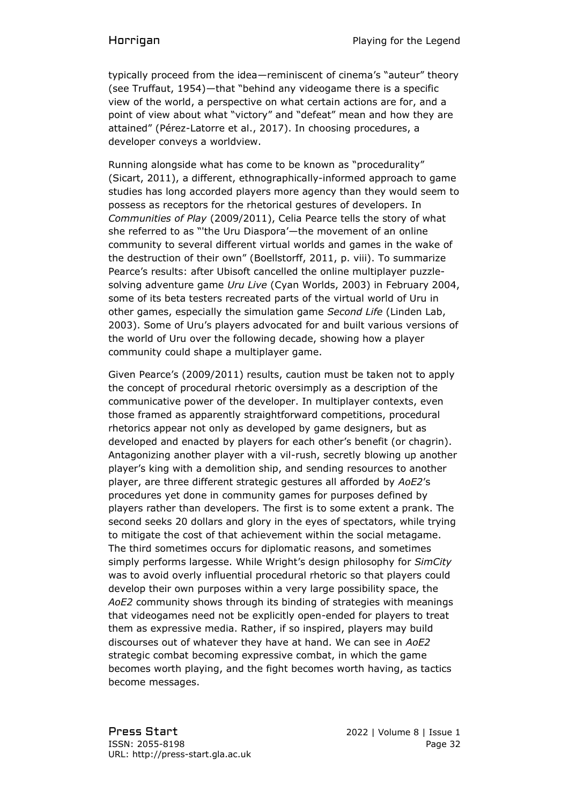typically proceed from the idea—reminiscent of cinema's "auteur" theory (see Truffaut, 1954)—that "behind any videogame there is a specific view of the world, a perspective on what certain actions are for, and a point of view about what "victory" and "defeat" mean and how they are attained" (Pérez-Latorre et al., 2017). In choosing procedures, a developer conveys a worldview.

Running alongside what has come to be known as "procedurality" (Sicart, 2011), a different, ethnographically-informed approach to game studies has long accorded players more agency than they would seem to possess as receptors for the rhetorical gestures of developers. In *Communities of Play* (2009/2011), Celia Pearce tells the story of what she referred to as "'the Uru Diaspora'—the movement of an online community to several different virtual worlds and games in the wake of the destruction of their own" (Boellstorff, 2011, p. viii). To summarize Pearce's results: after Ubisoft cancelled the online multiplayer puzzlesolving adventure game *Uru Live* (Cyan Worlds, 2003) in February 2004, some of its beta testers recreated parts of the virtual world of Uru in other games, especially the simulation game *Second Life* (Linden Lab, 2003). Some of Uru's players advocated for and built various versions of the world of Uru over the following decade, showing how a player community could shape a multiplayer game.

Given Pearce's (2009/2011) results, caution must be taken not to apply the concept of procedural rhetoric oversimply as a description of the communicative power of the developer. In multiplayer contexts, even those framed as apparently straightforward competitions, procedural rhetorics appear not only as developed by game designers, but as developed and enacted by players for each other's benefit (or chagrin). Antagonizing another player with a vil-rush, secretly blowing up another player's king with a demolition ship, and sending resources to another player, are three different strategic gestures all afforded by *AoE2*'s procedures yet done in community games for purposes defined by players rather than developers. The first is to some extent a prank. The second seeks 20 dollars and glory in the eyes of spectators, while trying to mitigate the cost of that achievement within the social metagame. The third sometimes occurs for diplomatic reasons, and sometimes simply performs largesse. While Wright's design philosophy for *SimCity* was to avoid overly influential procedural rhetoric so that players could develop their own purposes within a very large possibility space, the *AoE2* community shows through its binding of strategies with meanings that videogames need not be explicitly open-ended for players to treat them as expressive media. Rather, if so inspired, players may build discourses out of whatever they have at hand. We can see in *AoE2* strategic combat becoming expressive combat, in which the game becomes worth playing, and the fight becomes worth having, as tactics become messages.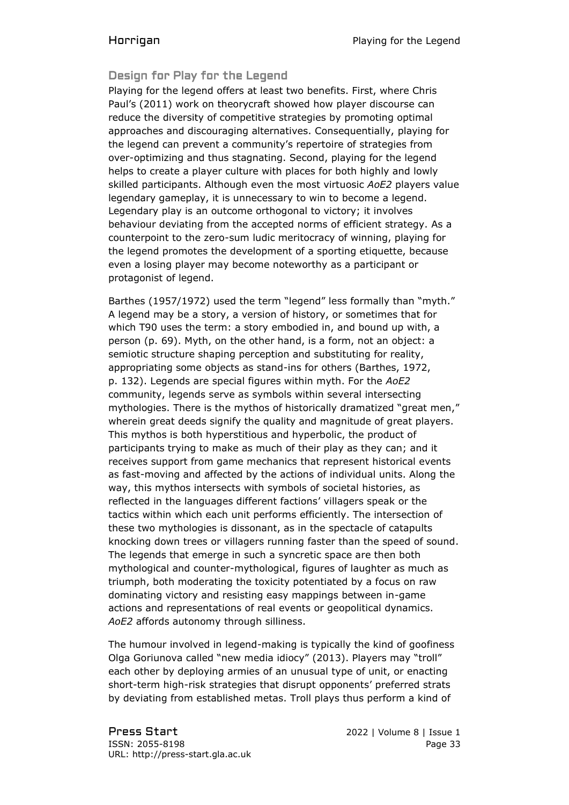## Design for Play for the Legend

Playing for the legend offers at least two benefits. First, where Chris Paul's (2011) work on theorycraft showed how player discourse can reduce the diversity of competitive strategies by promoting optimal approaches and discouraging alternatives. Consequentially, playing for the legend can prevent a community's repertoire of strategies from over-optimizing and thus stagnating. Second, playing for the legend helps to create a player culture with places for both highly and lowly skilled participants. Although even the most virtuosic *AoE2* players value legendary gameplay, it is unnecessary to win to become a legend. Legendary play is an outcome orthogonal to victory; it involves behaviour deviating from the accepted norms of efficient strategy. As a counterpoint to the zero-sum ludic meritocracy of winning, playing for the legend promotes the development of a sporting etiquette, because even a losing player may become noteworthy as a participant or protagonist of legend.

Barthes (1957/1972) used the term "legend" less formally than "myth." A legend may be a story, a version of history, or sometimes that for which T90 uses the term: a story embodied in, and bound up with, a person (p. 69). Myth, on the other hand, is a form, not an object: a semiotic structure shaping perception and substituting for reality, appropriating some objects as stand-ins for others (Barthes, 1972, p. 132). Legends are special figures within myth. For the *AoE2* community, legends serve as symbols within several intersecting mythologies. There is the mythos of historically dramatized "great men," wherein great deeds signify the quality and magnitude of great players. This mythos is both hyperstitious and hyperbolic, the product of participants trying to make as much of their play as they can; and it receives support from game mechanics that represent historical events as fast-moving and affected by the actions of individual units. Along the way, this mythos intersects with symbols of societal histories, as reflected in the languages different factions' villagers speak or the tactics within which each unit performs efficiently. The intersection of these two mythologies is dissonant, as in the spectacle of catapults knocking down trees or villagers running faster than the speed of sound. The legends that emerge in such a syncretic space are then both mythological and counter-mythological, figures of laughter as much as triumph, both moderating the toxicity potentiated by a focus on raw dominating victory and resisting easy mappings between in-game actions and representations of real events or geopolitical dynamics. *AoE2* affords autonomy through silliness.

The humour involved in legend-making is typically the kind of goofiness Olga Goriunova called "new media idiocy" (2013). Players may "troll" each other by deploying armies of an unusual type of unit, or enacting short-term high-risk strategies that disrupt opponents' preferred strats by deviating from established metas. Troll plays thus perform a kind of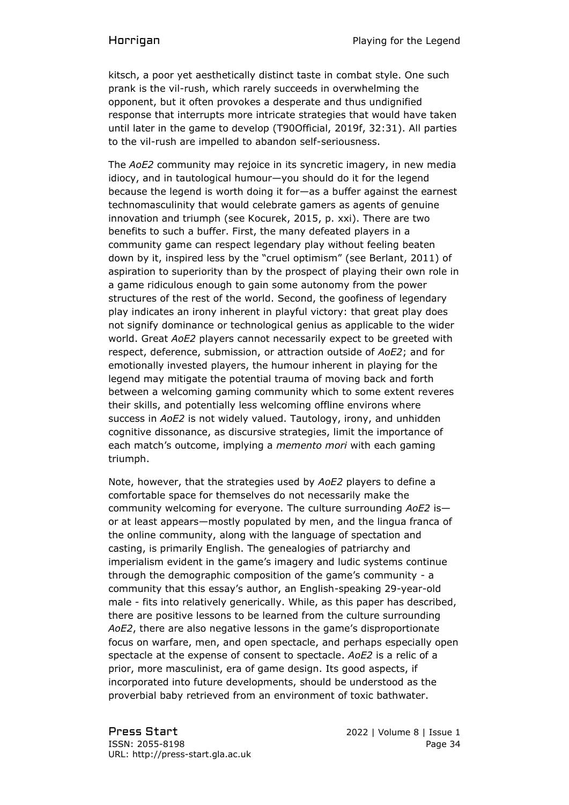kitsch, a poor yet aesthetically distinct taste in combat style. One such prank is the vil-rush, which rarely succeeds in overwhelming the opponent, but it often provokes a desperate and thus undignified response that interrupts more intricate strategies that would have taken until later in the game to develop (T90Official, 2019f, 32:31). All parties to the vil-rush are impelled to abandon self-seriousness.

The *AoE2* community may rejoice in its syncretic imagery, in new media idiocy, and in tautological humour—you should do it for the legend because the legend is worth doing it for—as a buffer against the earnest technomasculinity that would celebrate gamers as agents of genuine innovation and triumph (see Kocurek, 2015, p. xxi). There are two benefits to such a buffer. First, the many defeated players in a community game can respect legendary play without feeling beaten down by it, inspired less by the "cruel optimism" (see Berlant, 2011) of aspiration to superiority than by the prospect of playing their own role in a game ridiculous enough to gain some autonomy from the power structures of the rest of the world. Second, the goofiness of legendary play indicates an irony inherent in playful victory: that great play does not signify dominance or technological genius as applicable to the wider world. Great *AoE2* players cannot necessarily expect to be greeted with respect, deference, submission, or attraction outside of *AoE2*; and for emotionally invested players, the humour inherent in playing for the legend may mitigate the potential trauma of moving back and forth between a welcoming gaming community which to some extent reveres their skills, and potentially less welcoming offline environs where success in *AoE2* is not widely valued. Tautology, irony, and unhidden cognitive dissonance, as discursive strategies, limit the importance of each match's outcome, implying a *memento mori* with each gaming triumph.

Note, however, that the strategies used by *AoE2* players to define a comfortable space for themselves do not necessarily make the community welcoming for everyone. The culture surrounding *AoE2* is or at least appears—mostly populated by men, and the lingua franca of the online community, along with the language of spectation and casting, is primarily English. The genealogies of patriarchy and imperialism evident in the game's imagery and ludic systems continue through the demographic composition of the game's community - a community that this essay's author, an English-speaking 29-year-old male - fits into relatively generically. While, as this paper has described, there are positive lessons to be learned from the culture surrounding *AoE2*, there are also negative lessons in the game's disproportionate focus on warfare, men, and open spectacle, and perhaps especially open spectacle at the expense of consent to spectacle. *AoE2* is a relic of a prior, more masculinist, era of game design. Its good aspects, if incorporated into future developments, should be understood as the proverbial baby retrieved from an environment of toxic bathwater.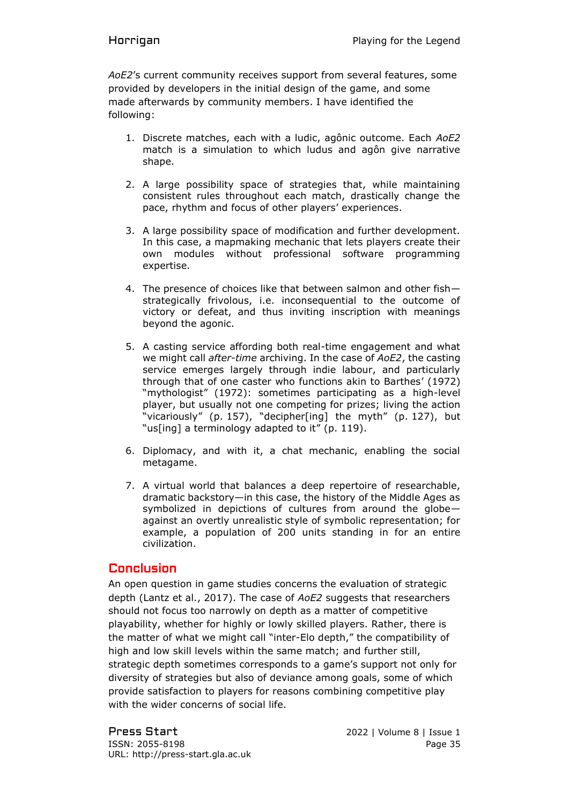*AoE2*'s current community receives support from several features, some provided by developers in the initial design of the game, and some made afterwards by community members. I have identified the following:

- 1. Discrete matches, each with a ludic, agônic outcome. Each *AoE2* match is a simulation to which ludus and agôn give narrative shape.
- 2. A large possibility space of strategies that, while maintaining consistent rules throughout each match, drastically change the pace, rhythm and focus of other players' experiences.
- 3. A large possibility space of modification and further development. In this case, a mapmaking mechanic that lets players create their own modules without professional software programming expertise.
- 4. The presence of choices like that between salmon and other fish strategically frivolous, i.e. inconsequential to the outcome of victory or defeat, and thus inviting inscription with meanings beyond the agonic.
- 5. A casting service affording both real-time engagement and what we might call *after-time* archiving. In the case of *AoE2*, the casting service emerges largely through indie labour, and particularly through that of one caster who functions akin to Barthes' (1972) "mythologist" (1972): sometimes participating as a high-level player, but usually not one competing for prizes; living the action "vicariously" (p. 157), "decipher[ing] the myth" (p. 127), but "us[ing] a terminology adapted to it" (p. 119).
- 6. Diplomacy, and with it, a chat mechanic, enabling the social metagame.
- 7. A virtual world that balances a deep repertoire of researchable, dramatic backstory—in this case, the history of the Middle Ages as symbolized in depictions of cultures from around the globe against an overtly unrealistic style of symbolic representation; for example, a population of 200 units standing in for an entire civilization.

# **Conclusion**

An open question in game studies concerns the evaluation of strategic depth (Lantz et al., 2017). The case of *AoE2* suggests that researchers should not focus too narrowly on depth as a matter of competitive playability, whether for highly or lowly skilled players. Rather, there is the matter of what we might call "inter-Elo depth," the compatibility of high and low skill levels within the same match; and further still, strategic depth sometimes corresponds to a game's support not only for diversity of strategies but also of deviance among goals, some of which provide satisfaction to players for reasons combining competitive play with the wider concerns of social life.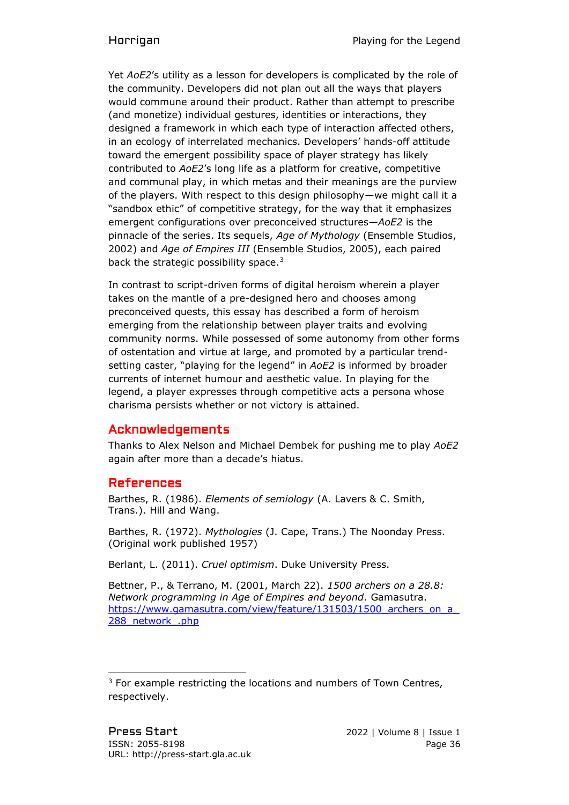Yet *AoE2*'s utility as a lesson for developers is complicated by the role of the community. Developers did not plan out all the ways that players would commune around their product. Rather than attempt to prescribe (and monetize) individual gestures, identities or interactions, they designed a framework in which each type of interaction affected others, in an ecology of interrelated mechanics. Developers' hands-off attitude toward the emergent possibility space of player strategy has likely contributed to *AoE2*'s long life as a platform for creative, competitive and communal play, in which metas and their meanings are the purview of the players. With respect to this design philosophy—we might call it a "sandbox ethic" of competitive strategy, for the way that it emphasizes emergent configurations over preconceived structures—*AoE2* is the pinnacle of the series. Its sequels, *Age of Mythology* (Ensemble Studios, 2002) and *Age of Empires III* (Ensemble Studios, 2005), each paired back the strategic possibility space. $3$ 

In contrast to script-driven forms of digital heroism wherein a player takes on the mantle of a pre-designed hero and chooses among preconceived quests, this essay has described a form of heroism emerging from the relationship between player traits and evolving community norms. While possessed of some autonomy from other forms of ostentation and virtue at large, and promoted by a particular trendsetting caster, "playing for the legend" in *AoE2* is informed by broader currents of internet humour and aesthetic value. In playing for the legend, a player expresses through competitive acts a persona whose charisma persists whether or not victory is attained.

# Acknowledgements

Thanks to Alex Nelson and Michael Dembek for pushing me to play *AoE2* again after more than a decade's hiatus.

# References

Barthes, R. (1986). *Elements of semiology* (A. Lavers & C. Smith, Trans.). Hill and Wang.

Barthes, R. (1972). *Mythologies* (J. Cape, Trans.) The Noonday Press. (Original work published 1957)

Berlant, L. (2011). *Cruel optimism*. Duke University Press.

Bettner, P., & Terrano, M. (2001, March 22). *1500 archers on a 28.8: Network programming in Age of Empires and beyond*. Gamasutra. https://www.gamasutra.com/view/feature/131503/1500\_archers\_on\_a 288 network .php

<sup>&</sup>lt;sup>3</sup> For example restricting the locations and numbers of Town Centres, respectively.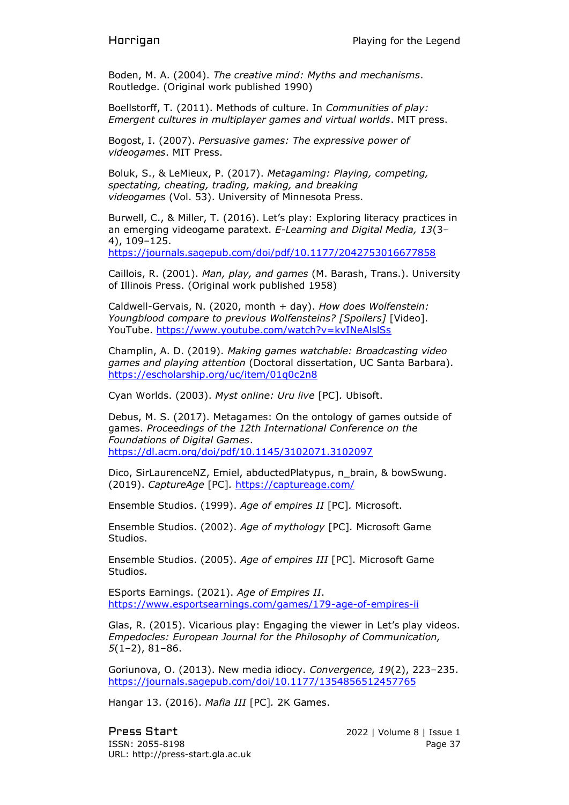Boden, M. A. (2004). *The creative mind: Myths and mechanisms*. Routledge. (Original work published 1990)

Boellstorff, T. (2011). Methods of culture. In *Communities of play: Emergent cultures in multiplayer games and virtual worlds*. MIT press.

Bogost, I. (2007). *Persuasive games: The expressive power of videogames*. MIT Press.

Boluk, S., & LeMieux, P. (2017). *Metagaming: Playing, competing, spectating, cheating, trading, making, and breaking videogames* (Vol. 53). University of Minnesota Press.

Burwell, C., & Miller, T. (2016). Let's play: Exploring literacy practices in an emerging videogame paratext. *E-Learning and Digital Media, 13*(3– 4), 109–125.

<https://journals.sagepub.com/doi/pdf/10.1177/2042753016677858>

Caillois, R. (2001). *Man, play, and games* (M. Barash, Trans.). University of Illinois Press. (Original work published 1958)

Caldwell-Gervais, N. (2020, month + day). *How does Wolfenstein: Youngblood compare to previous Wolfensteins? [Spoilers]* [Video]. YouTube.<https://www.youtube.com/watch?v=kvINeAlslSs>

Champlin, A. D. (2019). *Making games watchable: Broadcasting video games and playing attention* (Doctoral dissertation, UC Santa Barbara). <https://escholarship.org/uc/item/01q0c2n8>

Cyan Worlds. (2003). *Myst online: Uru live* [PC]*.* Ubisoft.

Debus, M. S. (2017). Metagames: On the ontology of games outside of games. *Proceedings of the 12th International Conference on the Foundations of Digital Games*. <https://dl.acm.org/doi/pdf/10.1145/3102071.3102097>

Dico, SirLaurenceNZ, Emiel, abductedPlatypus, n\_brain, & bowSwung. (2019). *CaptureAge* [PC]*.* <https://captureage.com/>

Ensemble Studios. (1999). *Age of empires II* [PC]*.* Microsoft.

Ensemble Studios. (2002). *Age of mythology* [PC]*.* Microsoft Game Studios.

Ensemble Studios. (2005). *Age of empires III* [PC]*.* Microsoft Game Studios.

ESports Earnings. (2021). *Age of Empires II*. <https://www.esportsearnings.com/games/179-age-of-empires-ii>

Glas, R. (2015). Vicarious play: Engaging the viewer in Let's play videos. *Empedocles: European Journal for the Philosophy of Communication, 5*(1–2), 81–86.

Goriunova, O. (2013). New media idiocy. *Convergence, 19*(2), 223–235. <https://journals.sagepub.com/doi/10.1177/1354856512457765>

Hangar 13. (2016). *Mafia III* [PC]*.* 2K Games.

Press Start 2022 | Volume 8 | Issue 1 ISSN: 2055-8198 Page 37 URL: http://press-start.gla.ac.uk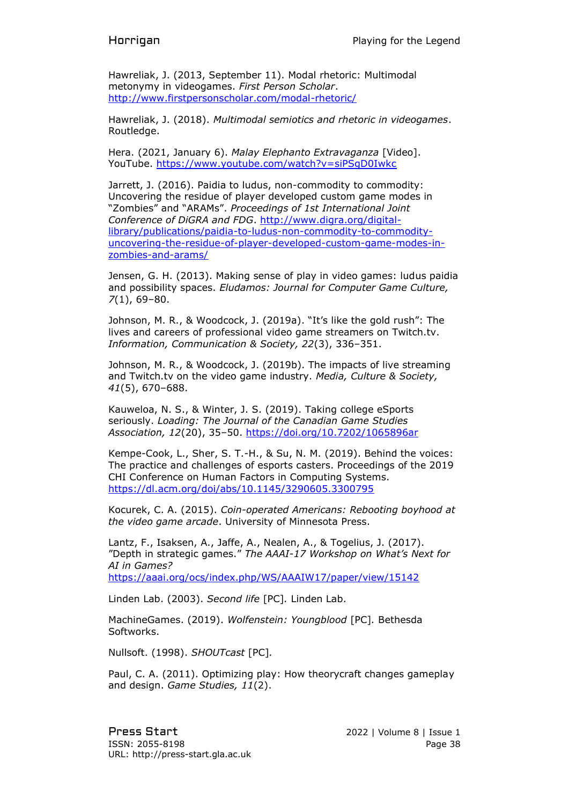Hawreliak, J. (2013, September 11). Modal rhetoric: Multimodal metonymy in videogames. *First Person Scholar*. <http://www.firstpersonscholar.com/modal-rhetoric/>

Hawreliak, J. (2018). *Multimodal semiotics and rhetoric in videogames*. Routledge.

Hera. (2021, January 6). *Malay Elephanto Extravaganza* [Video]. YouTube.<https://www.youtube.com/watch?v=siPSgD0Iwkc>

Jarrett, J. (2016). Paidia to ludus, non-commodity to commodity: Uncovering the residue of player developed custom game modes in "Zombies" and "ARAMs". *Proceedings of 1st International Joint Conference of DiGRA and FDG*. [http://www.digra.org/digital](http://www.digra.org/digital-library/publications/paidia-to-ludus-non-commodity-to-commodity-uncovering-the-residue-of-player-developed-custom-game-modes-in-zombies-and-arams/)[library/publications/paidia-to-ludus-non-commodity-to-commodity](http://www.digra.org/digital-library/publications/paidia-to-ludus-non-commodity-to-commodity-uncovering-the-residue-of-player-developed-custom-game-modes-in-zombies-and-arams/)[uncovering-the-residue-of-player-developed-custom-game-modes-in](http://www.digra.org/digital-library/publications/paidia-to-ludus-non-commodity-to-commodity-uncovering-the-residue-of-player-developed-custom-game-modes-in-zombies-and-arams/)[zombies-and-arams/](http://www.digra.org/digital-library/publications/paidia-to-ludus-non-commodity-to-commodity-uncovering-the-residue-of-player-developed-custom-game-modes-in-zombies-and-arams/)

Jensen, G. H. (2013). Making sense of play in video games: ludus paidia and possibility spaces. *Eludamos: Journal for Computer Game Culture, 7*(1), 69–80.

Johnson, M. R., & Woodcock, J. (2019a). "It's like the gold rush": The lives and careers of professional video game streamers on Twitch.tv. *Information, Communication & Society, 22*(3), 336–351.

Johnson, M. R., & Woodcock, J. (2019b). The impacts of live streaming and Twitch.tv on the video game industry. *Media, Culture & Society, 41*(5), 670–688.

Kauweloa, N. S., & Winter, J. S. (2019). Taking college eSports seriously. *Loading: The Journal of the Canadian Game Studies Association, 12*(20), 35–50.<https://doi.org/10.7202/1065896ar>

Kempe-Cook, L., Sher, S. T.-H., & Su, N. M. (2019). Behind the voices: The practice and challenges of esports casters. Proceedings of the 2019 CHI Conference on Human Factors in Computing Systems. <https://dl.acm.org/doi/abs/10.1145/3290605.3300795>

Kocurek, C. A. (2015). *Coin-operated Americans: Rebooting boyhood at the video game arcade*. University of Minnesota Press.

Lantz, F., Isaksen, A., Jaffe, A., Nealen, A., & Togelius, J. (2017). "Depth in strategic games." *The AAAI-17 Workshop on What's Next for AI in Games?* <https://aaai.org/ocs/index.php/WS/AAAIW17/paper/view/15142>

Linden Lab. (2003). *Second life* [PC]*.* Linden Lab.

MachineGames. (2019). *Wolfenstein: Youngblood* [PC]*.* Bethesda Softworks.

Nullsoft. (1998). *SHOUTcast* [PC]*.*

Paul, C. A. (2011). Optimizing play: How theorycraft changes gameplay and design. *Game Studies, 11*(2).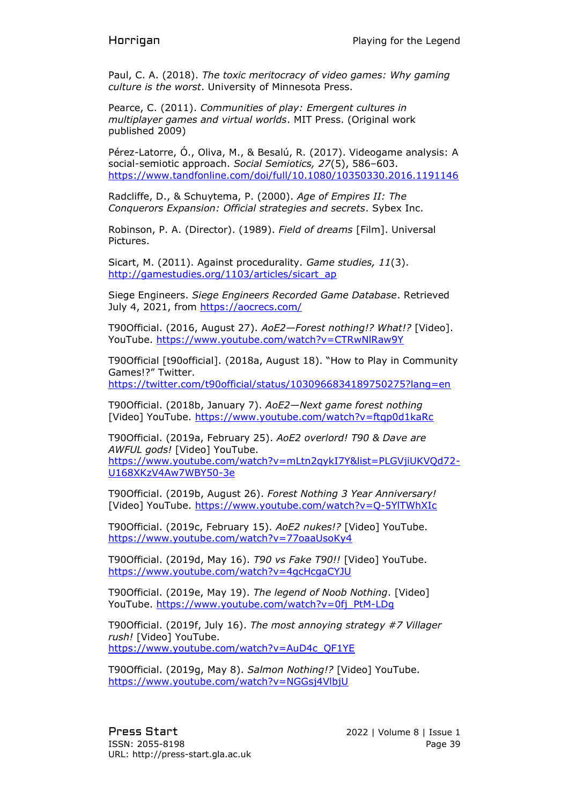Paul, C. A. (2018). *The toxic meritocracy of video games: Why gaming culture is the worst*. University of Minnesota Press.

Pearce, C. (2011). *Communities of play: Emergent cultures in multiplayer games and virtual worlds*. MIT Press. (Original work published 2009)

Pérez-Latorre, Ó., Oliva, M., & Besalú, R. (2017). Videogame analysis: A social-semiotic approach. *Social Semiotics, 27*(5), 586–603. <https://www.tandfonline.com/doi/full/10.1080/10350330.2016.1191146>

Radcliffe, D., & Schuytema, P. (2000). *Age of Empires II: The Conquerors Expansion: Official strategies and secrets*. Sybex Inc.

Robinson, P. A. (Director). (1989). *Field of dreams* [Film]. Universal Pictures.

Sicart, M. (2011). Against procedurality. *Game studies, 11*(3). [http://gamestudies.org/1103/articles/sicart\\_ap](http://gamestudies.org/1103/articles/sicart_ap)

Siege Engineers. *Siege Engineers Recorded Game Database*. Retrieved July 4, 2021, from<https://aocrecs.com/>

T90Official. (2016, August 27). *AoE2—Forest nothing!? What!?* [Video]. YouTube.<https://www.youtube.com/watch?v=CTRwNlRaw9Y>

T90Official [t90official]. (2018a, August 18). "How to Play in Community Games!?" Twitter. <https://twitter.com/t90official/status/1030966834189750275?lang=en>

T90Official. (2018b, January 7). *AoE2—Next game forest nothing* [Video] YouTube.<https://www.youtube.com/watch?v=ftqp0d1kaRc>

T90Official. (2019a, February 25). *AoE2 overlord! T90 & Dave are AWFUL gods!* [Video] YouTube. [https://www.youtube.com/watch?v=mLtn2qykI7Y&list=PLGVjiUKVQd72-](https://www.youtube.com/watch?v=mLtn2qykI7Y&list=PLGVjiUKVQd72-U168XKzV4Aw7WBY50-3e) [U168XKzV4Aw7WBY50-3e](https://www.youtube.com/watch?v=mLtn2qykI7Y&list=PLGVjiUKVQd72-U168XKzV4Aw7WBY50-3e)

T90Official. (2019b, August 26). *Forest Nothing 3 Year Anniversary!* [Video] YouTube.<https://www.youtube.com/watch?v=Q-5YlTWhXIc>

T90Official. (2019c, February 15). *AoE2 nukes!?* [Video] YouTube. <https://www.youtube.com/watch?v=77oaaUsoKy4>

T90Official. (2019d, May 16). *T90 vs Fake T90!!* [Video] YouTube. <https://www.youtube.com/watch?v=4gcHcgaCYJU>

T90Official. (2019e, May 19). *The legend of Noob Nothing*. [Video] YouTube. [https://www.youtube.com/watch?v=0fj\\_PtM-LDg](https://www.youtube.com/watch?v=0fj_PtM-LDg)

T90Official. (2019f, July 16). *The most annoying strategy #7 Villager rush!* [Video] YouTube. [https://www.youtube.com/watch?v=AuD4c\\_QF1YE](https://www.youtube.com/watch?v=AuD4c_QF1YE)

T90Official. (2019g, May 8). *Salmon Nothing!?* [Video] YouTube. <https://www.youtube.com/watch?v=NGGsj4VlbjU>